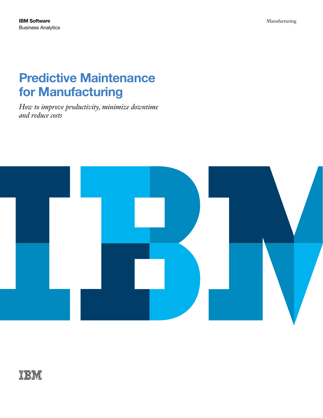# Predictive Maintenance for Manufacturing

*How to improve productivity, minimize downtime and reduce costs* 



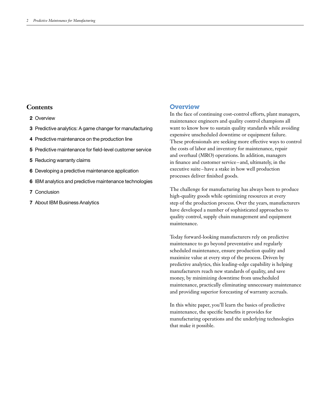## **Contents**

#### 2 Overview

- 3 Predictive analytics: A game changer for manufacturing
- 4 Predictive maintenance on the production line
- 5 Predictive maintenance for field-level customer service
- 5 Reducing warranty claims
- 6 Developing a predictive maintenance application
- 6 IBM analytics and predictive maintenance technologies
- 7 Conclusion
- 7 About IBM Business Analytics

#### **Overview**

In the face of continuing cost-control efforts, plant managers, maintenance engineers and quality control champions all want to know how to sustain quality standards while avoiding expensive unscheduled downtime or equipment failure. These professionals are seeking more effective ways to control the costs of labor and inventory for maintenance, repair and overhaul (MRO) operations. In addition, managers in finance and customer service– and, ultimately, in the executive suite –have a stake in how well production processes deliver finished goods.

The challenge for manufacturing has always been to produce high-quality goods while optimizing resources at every step of the production process. Over the years, manufacturers have developed a number of sophisticated approaches to quality control, supply chain management and equipment maintenance.

Today forward-looking manufacturers rely on predictive maintenance to go beyond preventative and regularly scheduled maintenance, ensure production quality and maximize value at every step of the process. Driven by predictive analytics, this leading-edge capability is helping manufacturers reach new standards of quality, and save money, by minimizing downtime from unscheduled maintenance, practically eliminating unnecessary maintenance and providing superior forecasting of warranty accruals.

In this white paper, you'll learn the basics of predictive maintenance, the specific benefits it provides for manufacturing operations and the underlying technologies that make it possible.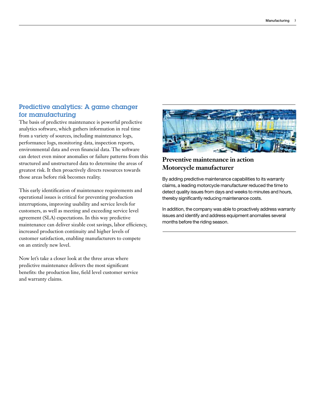## Predictive analytics: A game changer for manufacturing

The basis of predictive maintenance is powerful predictive analytics software, which gathers information in real time from a variety of sources, including maintenance logs, performance logs, monitoring data, inspection reports, environmental data and even financial data. The software can detect even minor anomalies or failure patterns from this structured and unstructured data to determine the areas of greatest risk. It then proactively directs resources towards those areas before risk becomes reality.

This early identification of maintenance requirements and operational issues is critical for preventing production interruptions, improving usability and service levels for customers, as well as meeting and exceeding service level agreement (SLA) expectations. In this way predictive maintenance can deliver sizable cost savings, labor efficiency, increased production continuity and higher levels of customer satisfaction, enabling manufacturers to compete on an entirely new level.

Now let's take a closer look at the three areas where predictive maintenance delivers the most significant benefits: the production line, field level customer service and warranty claims.



# **Preventive maintenance in action Motorcycle manufacturer**

By adding predictive maintenance capabilities to its warranty claims, a leading motorcycle manufacturer reduced the time to detect quality issues from days and weeks to minutes and hours, thereby significantly reducing maintenance costs.

In addition, the company was able to proactively address warranty issues and identify and address equipment anomalies several months before the riding season.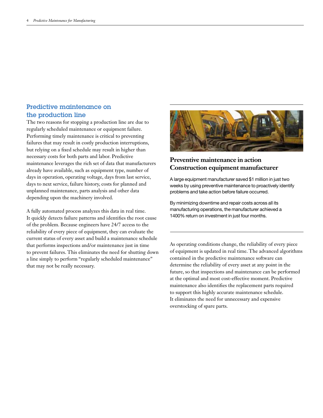## Predictive maintenance on the production line

The two reasons for stopping a production line are due to regularly scheduled maintenance or equipment failure. Performing timely maintenance is critical to preventing failures that may result in costly production interruptions, but relying on a fixed schedule may result in higher than necessary costs for both parts and labor. Predictive maintenance leverages the rich set of data that manufacturers already have available, such as equipment type, number of days in operation, operating voltage, days from last service, days to next service, failure history, costs for planned and unplanned maintenance, parts analysis and other data depending upon the machinery involved.

A fully automated process analyzes this data in real time. It quickly detects failure patterns and identifies the root cause of the problem. Because engineers have 24/7 access to the reliability of every piece of equipment, they can evaluate the current status of every asset and build a maintenance schedule that performs inspections and/or maintenance just in time to prevent failures. This eliminates the need for shutting down a line simply to perform "regularly scheduled maintenance" that may not be really necessary.



## **Preventive maintenance in action Construction equipment manufacturer**

A large equipment manufacturer saved \$1 million in just two weeks by using preventive maintenance to proactively identify problems and take action before failure occurred.

By minimizing downtime and repair costs across all its manufacturing operations, the manufacturer achieved a 1400% return on investment in just four months.

As operating conditions change, the reliability of every piece of equipment is updated in real time. The advanced algorithms contained in the predictive maintenance software can determine the reliability of every asset at any point in the future, so that inspections and maintenance can be performed at the optimal and most cost-effective moment. Predictive maintenance also identifies the replacement parts required to support this highly accurate maintenance schedule. It eliminates the need for unnecessary and expensive overstocking of spare parts.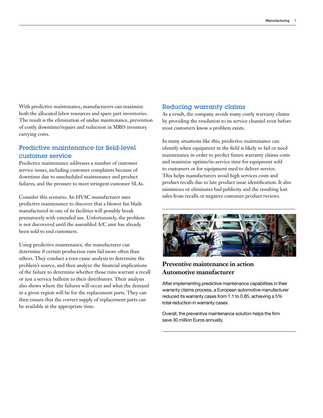With predictive maintenance, manufacturers can maximize both the allocated labor resources and spare part inventories. The result is the elimination of undue maintenance, prevention of costly downtime/repairs and reduction in MRO inventory carrying costs.

## Predictive maintenance for field-level customer service

Predictive maintenance addresses a number of customer service issues, including customer complaints because of downtime due to unscheduled maintenance and product failures, and the pressure to meet stringent customer SLAs.

Consider this scenario. An HVAC manufacturer uses predictive maintenance to discover that a blower fan blade manufactured in one of its facilities will possibly break prematurely with extended use. Unfortunately, the problem is not discovered until the assembled A/C unit has already been sold to end customers.

Using predictive maintenance, the manufacturer can determine if certain production runs fail more often than others. They conduct a root cause analysis to determine the problem's source, and then analyze the financial implications of the failure to determine whether those runs warrant a recall or just a service bulletin to their distributors. Their analysis also shows where the failures will occur and what the demand in a given region will be for the replacement parts. They can then ensure that the correct supply of replacement parts can be available at the appropriate time.

#### Reducing warranty claims

As a result, the company avoids many costly warranty claims by providing the resolution to its service channel even before most customers know a problem exists.

In many situations like this, predictive maintenance can identify when equipment in the field is likely to fail or need maintenance in order to predict future warranty claims costs and maximize uptime/in-service time for equipment sold to customers or for equipment used to deliver service. This helps manufacturers avoid high services costs and product recalls due to late product issue identification. It also minimizes or eliminates bad publicity and the resulting lost sales from recalls or negative customer product reviews.



# **Preventive maintenance in action Automotive manufacturer**

After implementing predictive maintenance capabilities in their warranty claims process, a European automotive manufacturer reduced its warranty cases from 1.1 to 0.85, achieving a 5% total reduction in warranty cases.

Overall, the preventive maintenance solution helps the firm save 30 million Euros annually.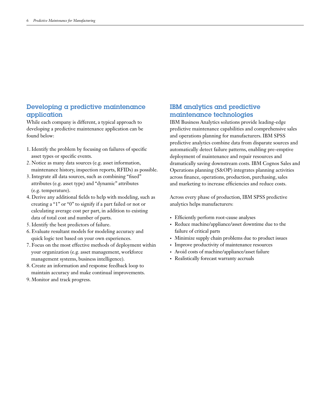## Developing a predictive maintenance application

While each company is different, a typical approach to developing a predictive maintenance application can be found below:

- 1. Identify the problem by focusing on failures of specific asset types or specific events.
- 2. Notice as many data sources (e.g. asset information, maintenance history, inspection reports, RFIDs) as possible.
- 3. Integrate all data sources, such as combining "fixed" attributes (e.g. asset type) and "dynamic" attributes (e.g. temperature).
- 4. Derive any additional fields to help with modeling, such as creating a "1" or "0" to signify if a part failed or not or calculating average cost per part, in addition to existing data of total cost and number of parts.
- 5. Identify the best predictors of failure.
- 6. Evaluate resultant models for modeling accuracy and quick logic test based on your own experiences.
- 7. Focus on the most effective methods of deployment within your organization (e.g. asset management, workforce management systems, business intelligence).
- 8. Create an information and response feedback loop to maintain accuracy and make continual improvements.
- 9. Monitor and track progress.

# IBM analytics and predictive maintenance technologies

IBM Business Analytics solutions provide leading-edge predictive maintenance capabilities and comprehensive sales and operations planning for manufacturers. IBM SPSS predictive analytics combine data from disparate sources and automatically detect failure patterns, enabling pre-emptive deployment of maintenance and repair resources and dramatically saving downstream costs. IBM Cognos Sales and Operations planning (S&OP) integrates planning activities across finance, operations, production, purchasing, sales and marketing to increase efficiencies and reduce costs.

Across every phase of production, IBM SPSS predictive analytics helps manufacturers:

- • Efficiently perform root-cause analyses
- • Reduce machine/appliance/asset downtime due to the failure of critical parts
- Minimize supply chain problems due to product issues
- Improve productivity of maintenance resources
- • Avoid costs of machine/appliance/asset failure
- Realistically forecast warranty accruals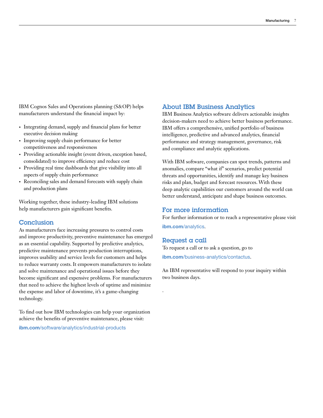IBM Cognos Sales and Operations planning (S&OP) helps manufacturers understand the financial impact by:

- • Integrating demand, supply and financial plans for better executive decision making
- • Improving supply chain performance for better competitiveness and responsiveness
- • Providing actionable insight (event driven, exception based, consolidated) to improve efficiency and reduce cost
- • Providing real time dashboards that give visibility into all aspects of supply chain performance
- Reconciling sales and demand forecasts with supply chain and production plans

Working together, these industry-leading IBM solutions help manufacturers gain significant benefits.

#### Conclusion

As manufacturers face increasing pressures to control costs and improve productivity, preventive maintenance has emerged as an essential capability. Supported by predictive analytics, predictive maintenance prevents production interruptions, improves usability and service levels for customers and helps to reduce warranty costs. It empowers manufacturers to isolate and solve maintenance and operational issues before they become significant and expensive problems. For manufacturers that need to achieve the highest levels of uptime and minimize the expense and labor of downtime, it's a game-changing technology.

To find out how IBM technologies can help your organization achieve the benefits of preventive maintenance, please visit:

ibm.com[/software/analytics/industrial-products](http://www.ibm.com/software/analytics/industrial-products)

## About IBM Business Analytics

IBM Business Analytics software delivers actionable insights decision-makers need to achieve better business performance. IBM offers a comprehensive, unified portfolio of business intelligence, predictive and advanced analytics, financial performance and strategy management, governance, risk and compliance and analytic applications.

With IBM software, companies can spot trends, patterns and anomalies, compare "what if" scenarios, predict potential threats and opportunities, identify and manage key business risks and plan, budget and forecast resources. With these deep analytic capabilities our customers around the world can better understand, anticipate and shape business outcomes.

#### For more information

For further information or to reach a representative please visit

ibm.com[/analytics](http://www.ibm.com/analytics).

## Request a call

.

To request a call or to ask a question, go to

ibm.com[/business-analytics/contactus](http://www.ibm.com/business-analytics/contactus).

An IBM representative will respond to your inquiry within two business days.